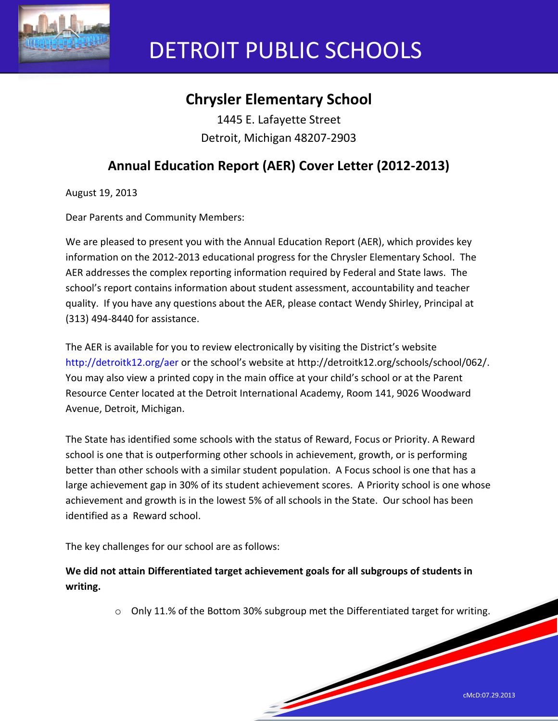

# DETROIT PUBLIC SCHOOLS

## **Chrysler Elementary School**

1445 E. Lafayette Street Detroit, Michigan 48207-2903

## **Annual Education Report (AER) Cover Letter (2012-2013)**

August 19, 2013

Dear Parents and Community Members:

We are pleased to present you with the Annual Education Report (AER), which provides key information on the 2012-2013 educational progress for the Chrysler Elementary School. The AER addresses the complex reporting information required by Federal and State laws. The school's report contains information about student assessment, accountability and teacher quality. If you have any questions about the AER, please contact Wendy Shirley, Principal at (313) 494-8440 for assistance.

The AER is available for you to review electronically by visiting the District's website http://detroitk12.org/aer or the school's website at http://detroitk12.org/schools/school/062/. You may also view a printed copy in the main office at your child's school or at the Parent Resource Center located at the Detroit International Academy, Room 141, 9026 Woodward Avenue, Detroit, Michigan.

The State has identified some schools with the status of Reward, Focus or Priority. A Reward school is one that is outperforming other schools in achievement, growth, or is performing better than other schools with a similar student population. A Focus school is one that has a large achievement gap in 30% of its student achievement scores. A Priority school is one whose achievement and growth is in the lowest 5% of all schools in the State. Our school has been identified as a Reward school.

The key challenges for our school are as follows:

**We did not attain Differentiated target achievement goals for all subgroups of students in writing.**

o Only 11.% of the Bottom 30% subgroup met the Differentiated target for writing.

**South Contract Contract Contract Contract Contract Contract Contract Contract Contract Contract Contract Contract Contract Contract Contract Contract Contract Contract Contract Contract Contract Contract Contract Contract**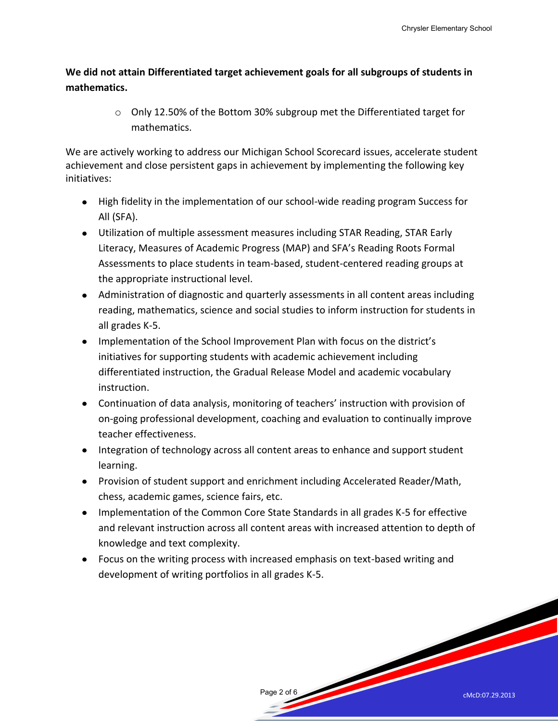**We did not attain Differentiated target achievement goals for all subgroups of students in mathematics.** 

> o Only 12.50% of the Bottom 30% subgroup met the Differentiated target for mathematics.

We are actively working to address our Michigan School Scorecard issues, accelerate student achievement and close persistent gaps in achievement by implementing the following key initiatives:

- High fidelity in the implementation of our school-wide reading program Success for All (SFA).
- Utilization of multiple assessment measures including STAR Reading, STAR Early Literacy, Measures of Academic Progress (MAP) and SFA's Reading Roots Formal Assessments to place students in team-based, student-centered reading groups at the appropriate instructional level.
- Administration of diagnostic and quarterly assessments in all content areas including reading, mathematics, science and social studies to inform instruction for students in all grades K-5.
- Implementation of the School Improvement Plan with focus on the district's initiatives for supporting students with academic achievement including differentiated instruction, the Gradual Release Model and academic vocabulary instruction.
- Continuation of data analysis, monitoring of teachers' instruction with provision of on-going professional development, coaching and evaluation to continually improve teacher effectiveness.
- Integration of technology across all content areas to enhance and support student learning.
- Provision of student support and enrichment including Accelerated Reader/Math, chess, academic games, science fairs, etc.
- Implementation of the Common Core State Standards in all grades K-5 for effective and relevant instruction across all content areas with increased attention to depth of knowledge and text complexity.
- Focus on the writing process with increased emphasis on text-based writing and development of writing portfolios in all grades K-5.

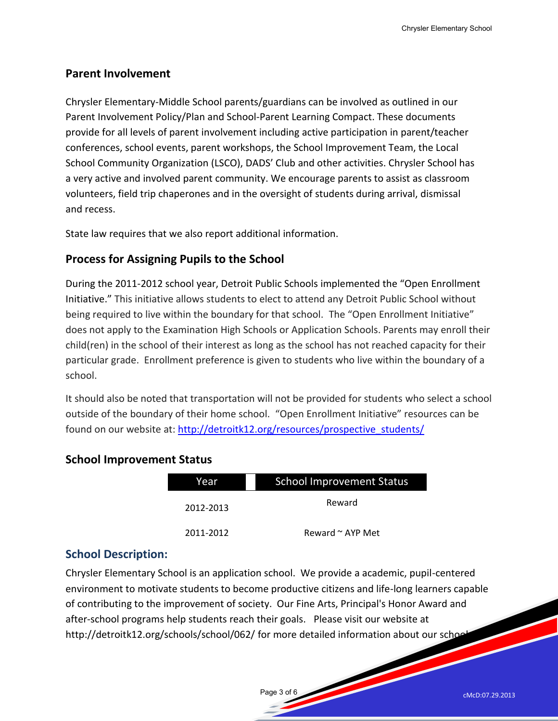#### **Parent Involvement**

Chrysler Elementary-Middle School parents/guardians can be involved as outlined in our Parent Involvement Policy/Plan and School-Parent Learning Compact. These documents provide for all levels of parent involvement including active participation in parent/teacher conferences, school events, parent workshops, the School Improvement Team, the Local School Community Organization (LSCO), DADS' Club and other activities. Chrysler School has a very active and involved parent community. We encourage parents to assist as classroom volunteers, field trip chaperones and in the oversight of students during arrival, dismissal and recess.

State law requires that we also report additional information.

#### **Process for Assigning Pupils to the School**

During the 2011-2012 school year, Detroit Public Schools implemented the "Open Enrollment Initiative." This initiative allows students to elect to attend any Detroit Public School without being required to live within the boundary for that school. The "Open Enrollment Initiative" does not apply to the Examination High Schools or Application Schools. Parents may enroll their child(ren) in the school of their interest as long as the school has not reached capacity for their particular grade. Enrollment preference is given to students who live within the boundary of a school.

It should also be noted that transportation will not be provided for students who select a school outside of the boundary of their home school. "Open Enrollment Initiative" resources can be found on our website at: [http://detroitk12.org/resources/prospective\\_students/](http://detroitk12.org/resources/prospective_students/)

| Year      | <b>School Improvement Status</b> |  |
|-----------|----------------------------------|--|
| 2012-2013 | Reward                           |  |
| 2011-2012 | Reward $\sim$ AYP Met            |  |

#### **School Improvement Status**

#### **School Description:**

Chrysler Elementary School is an application school. We provide a academic, pupil-centered environment to motivate students to become productive citizens and life-long learners capable of contributing to the improvement of society. Our Fine Arts, Principal's Honor Award and after-school programs help students reach their goals. Please visit our website at http://detroitk12.org/schools/school/062/ for more detailed information about our schor

Page 3 of 6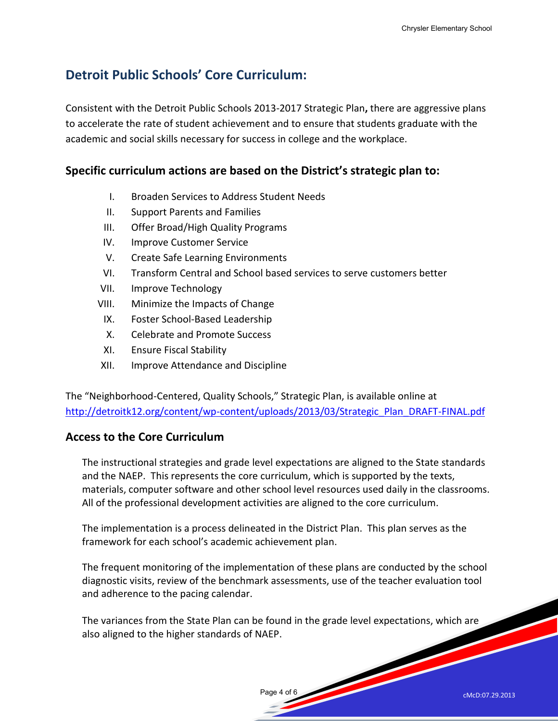### **Detroit Public Schools' Core Curriculum:**

Consistent with the Detroit Public Schools 2013-2017 Strategic Plan**,** there are aggressive plans to accelerate the rate of student achievement and to ensure that students graduate with the academic and social skills necessary for success in college and the workplace.

#### **Specific curriculum actions are based on the District's strategic plan to:**

- I. Broaden Services to Address Student Needs
- II. Support Parents and Families
- III. Offer Broad/High Quality Programs
- IV. Improve Customer Service
- V. Create Safe Learning Environments
- VI. Transform Central and School based services to serve customers better
- VII. Improve Technology
- VIII. Minimize the Impacts of Change
	- IX. Foster School-Based Leadership
	- X. Celebrate and Promote Success
	- XI. Ensure Fiscal Stability
- XII. Improve Attendance and Discipline

The "Neighborhood-Centered, Quality Schools," Strategic Plan, is available online at [http://detroitk12.org/content/wp-content/uploads/2013/03/Strategic\\_Plan\\_DRAFT-FINAL.pdf](http://detroitk12.org/content/wp-content/uploads/2013/03/Strategic_Plan_DRAFT-FINAL.pdf)

#### **Access to the Core Curriculum**

The instructional strategies and grade level expectations are aligned to the State standards and the NAEP. This represents the core curriculum, which is supported by the texts, materials, computer software and other school level resources used daily in the classrooms. All of the professional development activities are aligned to the core curriculum.

The implementation is a process delineated in the District Plan. This plan serves as the framework for each school's academic achievement plan.

The frequent monitoring of the implementation of these plans are conducted by the school diagnostic visits, review of the benchmark assessments, use of the teacher evaluation tool and adherence to the pacing calendar.

The variances from the State Plan can be found in the grade level expectations, which are also aligned to the higher standards of NAEP.

Page 4 of 6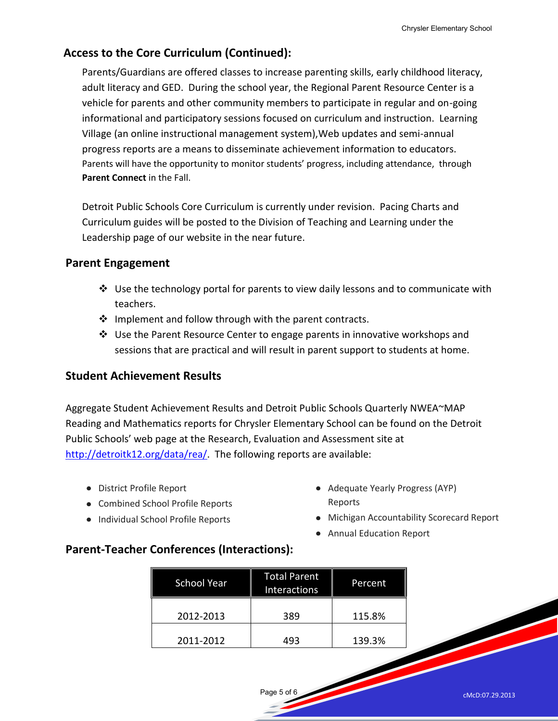#### **Access to the Core Curriculum (Continued):**

Parents/Guardians are offered classes to increase parenting skills, early childhood literacy, adult literacy and GED. During the school year, the Regional Parent Resource Center is a vehicle for parents and other community members to participate in regular and on-going informational and participatory sessions focused on curriculum and instruction. Learning Village (an online instructional management system),Web updates and semi-annual progress reports are a means to disseminate achievement information to educators. Parents will have the opportunity to monitor students' progress, including attendance, through **Parent Connect** in the Fall.

Detroit Public Schools Core Curriculum is currently under revision. Pacing Charts and Curriculum guides will be posted to the Division of Teaching and Learning under the Leadership page of our website in the near future.

#### **Parent Engagement**

- $\clubsuit$  Use the technology portal for parents to view daily lessons and to communicate with teachers.
- $\cdot \cdot$  Implement and follow through with the parent contracts.
- $\div$  Use the Parent Resource Center to engage parents in innovative workshops and sessions that are practical and will result in parent support to students at home.

#### **Student Achievement Results**

Aggregate Student Achievement Results and Detroit Public Schools Quarterly NWEA~MAP Reading and Mathematics reports for Chrysler Elementary School can be found on the Detroit Public Schools' web page at the Research, Evaluation and Assessment site at [http://detroitk12.org/data/rea/.](http://detroitk12.org/data/rea/) The following reports are available:

- District Profile Report
- Combined School Profile Reports
- Individual School Profile Reports
- Adequate Yearly Progress (AYP) Reports
- Michigan Accountability Scorecard Report
- Annual Education Report

#### **Parent-Teacher Conferences (Interactions):**

| <b>School Year</b> | <b>Total Parent</b><br><b>Interactions</b> | Percent |
|--------------------|--------------------------------------------|---------|
| 2012-2013          | 389                                        | 115.8%  |
| 2011-2012          | 193                                        | 139.3%  |

Page 5 of 6